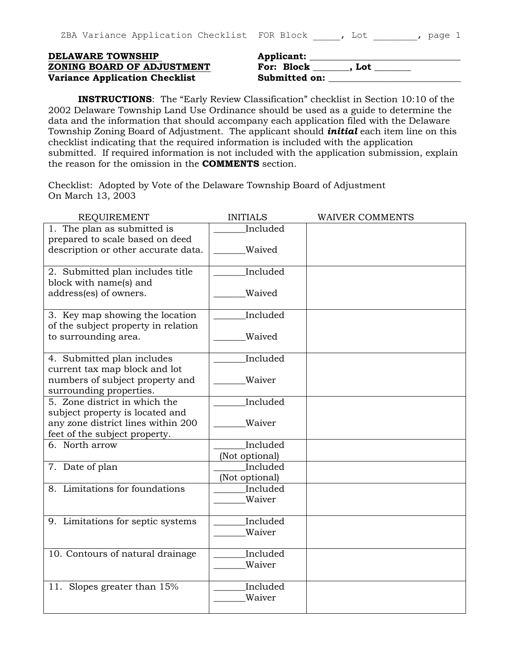|  | ZBA Variance Application Checklist FOR Block (a) , Lot (b) page 1 |  |  |  |  |
|--|-------------------------------------------------------------------|--|--|--|--|
|  |                                                                   |  |  |  |  |

## **DELAWARE TOWNSHIP ZONING BOARD OF ADJUSTMENT Variance Application Checklist**

| <b>Applicant:</b> |       |  |
|-------------------|-------|--|
| For: Block        | . Lot |  |
| Submitted on:     |       |  |

**INSTRUCTIONS**: The "Early Review Classification" checklist in Section 10:10 of the 2002 Delaware Township Land Use Ordinance should be used as a guide to determine the data and the information that should accompany each application filed with the Delaware Township Zoning Board of Adjustment. The applicant should *initial* each item line on this checklist indicating that the required information is included with the application submitted. If required information is not included with the application submission, explain the reason for the omission in the **COMMENTS** section.

Checklist: Adopted by Vote of the Delaware Township Board of Adjustment On March 13, 2003

| <b>REQUIREMENT</b>                  | <b>INITIALS</b> | <b>WAIVER COMMENTS</b> |
|-------------------------------------|-----------------|------------------------|
| 1. The plan as submitted is         | Included        |                        |
| prepared to scale based on deed     |                 |                        |
| description or other accurate data. | Waived          |                        |
|                                     |                 |                        |
| 2. Submitted plan includes title    | Included        |                        |
| block with name(s) and              |                 |                        |
| address(es) of owners.              | Waived          |                        |
|                                     |                 |                        |
| 3. Key map showing the location     | Included        |                        |
| of the subject property in relation |                 |                        |
| to surrounding area.                | Waived          |                        |
|                                     |                 |                        |
| 4. Submitted plan includes          | Included        |                        |
| current tax map block and lot       |                 |                        |
| numbers of subject property and     | Waiver          |                        |
| surrounding properties.             |                 |                        |
| 5. Zone district in which the       | Included        |                        |
| subject property is located and     |                 |                        |
| any zone district lines within 200  | Waiver          |                        |
| feet of the subject property.       |                 |                        |
| 6. North arrow                      | Included        |                        |
|                                     |                 |                        |
|                                     | (Not optional)  |                        |
| 7. Date of plan                     | Included        |                        |
|                                     | (Not optional)  |                        |
| 8. Limitations for foundations      | Included        |                        |
|                                     | Waiver          |                        |
|                                     |                 |                        |
| 9. Limitations for septic systems   | Included        |                        |
|                                     | Waiver          |                        |
|                                     |                 |                        |
| 10. Contours of natural drainage    | Included        |                        |
|                                     | Waiver          |                        |
|                                     |                 |                        |
| 11. Slopes greater than 15%         | Included        |                        |
|                                     | Waiver          |                        |
|                                     |                 |                        |